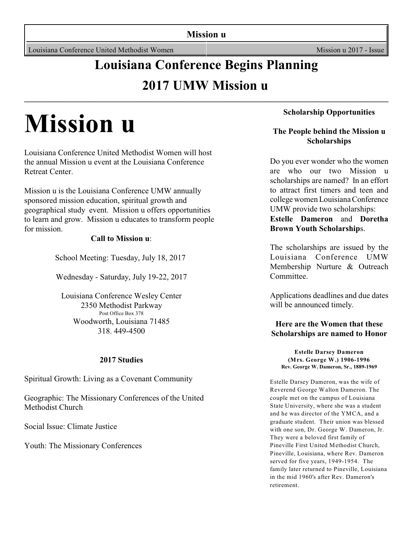**Mission u**

Louisiana Conference United Methodist Women Mission u 2017 - Issue

# **Louisiana Conference Begins Planning 2017 UMW Mission u**

**\_\_\_\_\_\_\_\_\_\_\_\_\_\_\_\_\_\_\_\_\_\_\_\_\_\_\_\_\_\_\_\_\_\_\_\_\_\_\_\_\_\_\_\_\_\_\_\_\_\_\_\_\_\_\_\_\_\_\_\_\_\_\_\_\_\_\_\_\_\_\_\_\_\_\_\_\_\_\_\_\_\_\_\_\_\_\_\_\_\_**

# **Mission u**

Louisiana Conference United Methodist Women will host the annual Mission u event at the Louisiana Conference Retreat Center.

Mission u is the Louisiana Conference UMW annually sponsored mission education, spiritual growth and geographical study event. Mission u offers opportunities to learn and grow. Mission u educates to transform people for mission.

#### **Call to Mission u**:

School Meeting: Tuesday, July 18, 2017

Wednesday - Saturday, July 19-22, 2017

Louisiana Conference Wesley Center 2350 Methodist Parkway Post Office Box 378 Woodworth, Louisiana 71485 318. 449-4500

#### **2017 Studies**

Spiritual Growth: Living as a Covenant Community

Geographic: The Missionary Conferences of the United Methodist Church

Social Issue: Climate Justice

Youth: The Missionary Conferences

#### **Scholarship Opportunities**

#### **The People behind the Mission u Scholarships**

Do you ever wonder who the women are who our two Mission u scholarships are named? In an effort to attract first timers and teen and college women LouisianaConference UMW provide two scholarships:

**Estelle Dameron** and **Doretha Brown Youth Scholarship**s.

The scholarships are issued by the Louisiana Conference UMW Membership Nurture & Outreach Committee.

Applications deadlines and due dates will be announced timely.

#### **Here are the Women that these Scholarships are named to Honor**

**Estelle Darsey Dameron (Mrs. George W.) 1906-1996 Rev. George W. Dameron, Sr., 1889-1969**

Estelle Darsey Dameron, was the wife of Reverend George Walton Dameron. The couple met on the campus of Louisiana State University, where she was a student and he was director of the YMCA, and a graduate student. Their union was blessed with one son, Dr. George W. Dameron, Jr. They were a beloved first family of Pineville First United Methodist Church, Pineville, Louisiana, where Rev. Dameron served for five years, 1949-1954. The family later returned to Pineville, Louisiana in the mid 1960's after Rev. Dameron's retirement.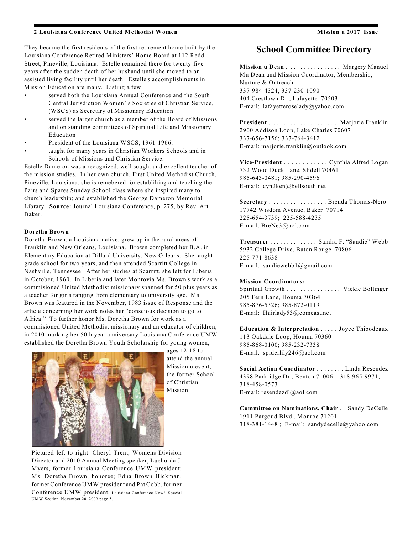#### **2 Louisiana Conference United Methodist Women Mission u 2017 Issue**

They became the first residents of the first retirement home built by the Louisiana Conference Retired Ministers' Home Board at 112 Redd Street, Pineville, Louisiana. Estelle remained there for twenty-five years after the sudden death of her husband until she moved to an assisted living facility until her death. Estelle's accomplishments in Mission Education are many. Listing a few:

- served both the Louisiana Annual Conference and the South Central Jurisdiction Women' s Societies of Christian Service, (WSCS) as Secretary of Missionary Education
- served the larger church as a member of the Board of Missions and on standing committees of Spiritual Life and Missionary Education
- President of the Louisiana WSCS, 1961-1966.
- taught for many years in Christian Workers Schools and in Schools of Missions and Christian Service.

Estelle Dameron was a recognized, well sought and excellent teacher of the mission studies. In her own church, First United Methodist Church, Pineville, Louisiana, she is remebered for establihing and teaching the Pairs and Spares Sunday School class where she inspired many to church leadership; and established the George Dameron Memorial Library. **Source:** Journal Louisiana Conference, p. 275, by Rev. Art Baker.

#### **Doretha Brown**

Doretha Brown, a Louisiana native, grew up in the rural areas of Franklin and New Orleans, Louisiana. Brown completed her B.A. in Elementary Education at Dillard University, New Orleans. She taught grade school for two years, and then attended Scarritt College in Nashville, Tennessee. After her studies at Scarritt, she left for Liberia in October, 1960. In Liberia and later Monrovia Ms. Brown's work as a commisioned United Methodist missionary spanned for 50 plus years as a teacher for girls ranging from elementary to university age. Ms. Brown was featured in the November, 1983 issue of Response and the article concerning her work notes her "conscious decision to go to Africa." To further honor Ms. Doretha Brown for work as a commisioned United Methodist missionary and an educator of children, in 2010 marking her 50th year anniversary Louisiana Conference UMW established the Doretha Brown Youth Scholarship for young women,



ages 12-18 to attend the annual Mission u event, the former School of Christian Mission.

#### **School Committee Directory**

**Mission u Dean** . . . . . . . . . . . . . . . . Margery Manuel Mu Dean and Mission Coordinator, Membership, Nurture & Outreach 337-984-4324; 337-230-1090 404 Crestlawn Dr., Lafayette 70503 E-mail: lafayetteroselady@yahoo.com

**President** . . . . . . . . . . . . . . . . . . . . Marjorie Franklin 2900 Addison Loop, Lake Charles 70607 337-656-7156; 337-764-3412 E-mail: marjorie.franklin@outlook.com

**Vice-President** . . . . . . . . . . . . Cynthia Alfred Logan 732 Wood Duck Lane, Slidell 70461 985-643-0481; 985-290-4596 E-mail: cyn2ken@bellsouth.net

**Secretary** . . . . . . . . . . . . . . . . . Brenda Thomas-Nero 17742 Wisdom Avenue, Baker 70714 225-654-3739; 225-588-4235 E-mail: BreNe3@aol.com

**Treasurer** . . . . . . . . . . . . . . Sandra F. "Sandie" Webb 5932 College Drive, Baton Rouge 70806 225-771-8638 E-mail: sandiewebb1@gmail.com

#### **Mission Coordinators:**

Spiritual Growth . . . . . . . . . . . . . . . . Vickie Bollinger 205 Fern Lane, Houma 70364 985-876-5326; 985-872-0119 E-mail: Hairlady53@comcast.net

**Education & Interpretation** . . . . . Joyce Thibodeaux 113 Oakdale Loop, Houma 70360 985-868-0100; 985-232-7338 E-mail: spiderlily246@aol.com

**Social Action Coordinator** . . . . . . . . Linda Resendez 4398 Parkridge Dr., Benton 71006 318-965-9971; 318-458-0573 E-mail: resendezdl@aol.com

**Committee on Nominations, Chair** . Sandy DeCelle 1911 Pargoud Blvd., Monroe 71201 318-381-1448 ; E-mail: sandydecelle@yahoo.com

Pictured left to right: Cheryl Trent, Womens Division Director and 2010 Annual Meeting speaker; Lueburda J. Myers, former Louisiana Conference UMW president; Ms. Doretha Brown, honoree; Edna Brown Hickman, former Conference UMW president and Pat Cobb, former Conference UMW president. Louisiana Conference Now! Special UMW Section, November 20, 2009 page 5.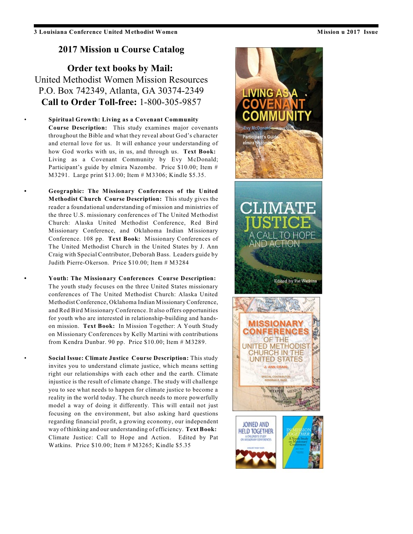#### **2017 Mission u Course Catalog**

**Order text books by Mail:** United Methodist Women Mission Resources P.O. Box 742349, Atlanta, GA 30374-2349 **Call to Order Toll-free:** 1-800-305-9857

• **Spiritual Growth: Living as a Covenant Community Course Description:** This study examines major covenants throughout the Bible and what they reveal about God's character and eternal love for us. It will enhance your understanding of how God works with us, in us, and through us. **Text Book:** Living as a Covenant Community by Evy McDonald; Participant's guide by elmira Nazombe. Price \$10.00; Item # M3291. Large print \$13.00; Item # M3306; Kindle \$5.35.

**• Geographic: The Missionary Conferences of the United Methodist Church Course Description:** This study gives the reader a foundational understanding of mission and ministries of the three U.S. missionary conferences of The United Methodist Church: Alaska United Methodist Conference, Red Bird Missionary Conference, and Oklahoma Indian Missionary Conference. 108 pp. **Text Book:** Missionary Conferences of The United Methodist Church in the United States by J. Ann Craig with Special Contributor, Deborah Bass. Leaders guide by Judith Pierre-Okerson. Price \$10.00; Item # M3284

**• Youth: The Missionary Conferences Course Description:** The youth study focuses on the three United States missionary conferences of The United Methodist Church: Alaska United Methodist Conference, Oklahoma Indian Missionary Conference, and Red Bird Missionary Conference. It also offers opportunities for youth who are interested in relationship-building and handson mission. **Text Book:** In Mission Together: A Youth Study on Missionary Conferences by Kelly Martini with contributions from Kendra Dunbar. 90 pp. Price  $$10.00$ ; Item  $#$  M3289.

• **Social Issue: Climate Justice Course Description:** This study invites you to understand climate justice, which means setting right our relationships with each other and the earth. Climate injustice is the result of climate change. The study will challenge you to see what needs to happen for climate justice to become a reality in the world today. The church needs to more powerfully model a way of doing it differently. This will entail not just focusing on the environment, but also asking hard questions regarding financial profit, a growing economy, our independent way of thinking and our understanding of efficiency. **Text Book:** Climate Justice: Call to Hope and Action. Edited by Pat Watkins. Price \$10.00; Item # M3265; Kindle \$5.35

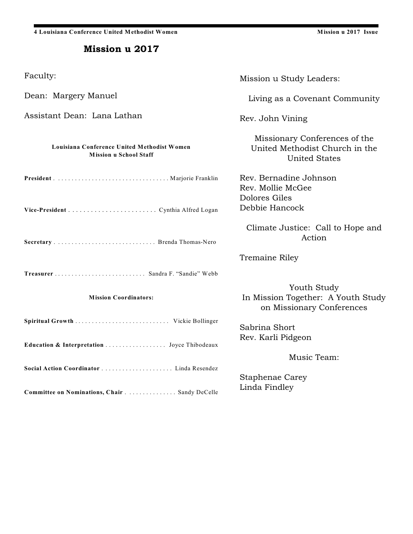**4 Louisiana Conference United Methodist Women Mission u 2017 Issue**

#### Mission u 2017

| Faculty:                                                                     | Mission u Study Leaders:                                                                |
|------------------------------------------------------------------------------|-----------------------------------------------------------------------------------------|
| Dean: Margery Manuel                                                         | Living as a Covenant Community                                                          |
| Assistant Dean: Lana Lathan                                                  | Rev. John Vining                                                                        |
| Louisiana Conference United Methodist Women<br><b>Mission u School Staff</b> | Missionary Conferences of the<br>United Methodist Church in the<br><b>United States</b> |
|                                                                              | Rev. Bernadine Johnson<br>Rev. Mollie McGee                                             |
|                                                                              | Dolores Giles<br>Debbie Hancock                                                         |
|                                                                              | Climate Justice: Call to Hope and<br>Action                                             |
|                                                                              | Tremaine Riley                                                                          |
| Treasurer  Sandra F. "Sandie" Webb                                           |                                                                                         |
| <b>Mission Coordinators:</b>                                                 | Youth Study<br>In Mission Together: A Youth Study<br>on Missionary Conferences          |
| Spiritual Growth  Vickie Bollinger                                           | Sabrina Short<br>Rev. Karli Pidgeon                                                     |
| Education & Interpretation  Joyce Thibodeaux                                 | Music Team:                                                                             |
|                                                                              |                                                                                         |
| Committee on Nominations, Chair Sandy DeCelle                                | <b>Staphenae Carey</b><br>Linda Findley                                                 |